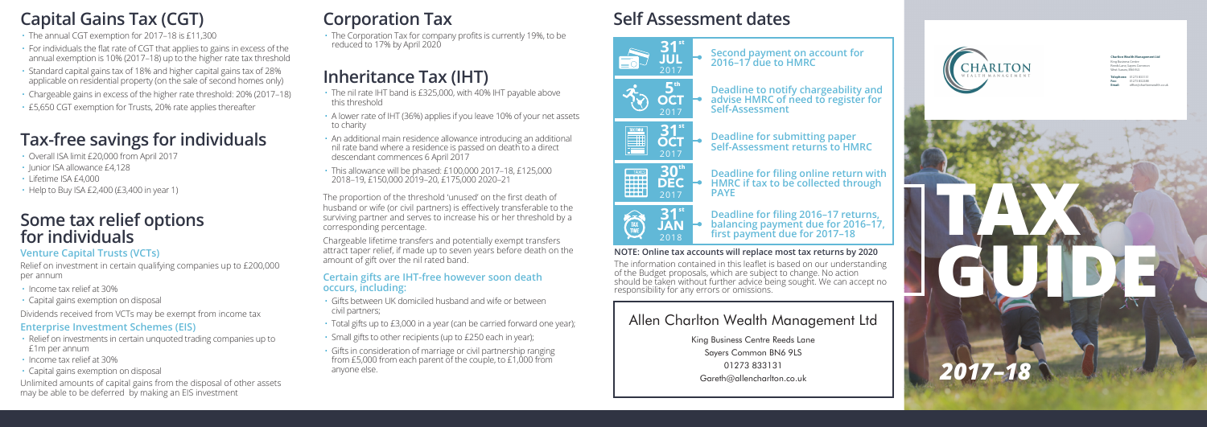## **Capital Gains Tax (CGT)**

- The annual CGT exemption for 2017–18 is £11,300
- $\cdot$  For individuals the flat rate of CGT that applies to gains in excess of the annual exemption is 10% (2017–18) up to the higher rate tax threshold
- Standard capital gains tax of 18% and higher capital gains tax of 28% applicable on residential property (on the sale of second homes only)
- Chargeable gains in excess of the higher rate threshold: 20% (2017–18)
- £5,650 CGT exemption for Trusts, 20% rate applies thereafter

### **Tax-free savings for individuals**

- Overall ISA limit £20,000 from April 2017
- Junior ISA allowance £4,128
- Lifetime ISA £4,000
- Help to Buy ISA £2,400 (£3,400 in year 1)

#### **Some tax relief options for individuals**

#### **Venture Capital Trusts (VCTs)**

Relief on investment in certain qualifying companies up to £200,000 per annum

- Income tax relief at 30%
- Capital gains exemption on disposal
- Dividends received from VCTs may be exempt from income tax

#### **Enterprise Investment Schemes (EIS)**

- Relief on investments in certain unquoted trading companies up to £1m per annum
- Income tax relief at 30%
- Capital gains exemption on disposal

Unlimited amounts of capital gains from the disposal of other assets may be able to be deferred by making an EIS investment

## **Corporation Tax**

 $\cdot$  The Corporation Tax for company profits is currently 19%, to be reduced to 17% by April 2020

# **Inheritance Tax (IHT)**

- The nil rate IHT band is £325,000, with 40% IHT payable above this threshold
- A lower rate of IHT (36%) applies if you leave 10% of your net assets to charity
- An additional main residence allowance introducing an additional nil rate band where a residence is passed on death to a direct descendant commences 6 April 2017
- This allowance will be phased: £100,000 2017–18, £125,000 2018–19, £150,000 2019–20, £175,000 2020–21

The proportion of the threshold 'unused' on the first death of husband or wife (or civil partners) is effectively transferable to the surviving partner and serves to increase his or her threshold by a corresponding percentage.

Chargeable lifetime transfers and potentially exempt transfers attract taper relief, if made up to seven years before death on the amount of gift over the nil rated band.

#### **Certain gifts are IHT-free however soon death occurs, including:**

- Gifts between UK domiciled husband and wife or between civil partners;
- Total gifts up to £3,000 in a year (can be carried forward one year);
- Small gifts to other recipients (up to £250 each in year);
- Gifts in consideration of marriage or civil partnership ranging from £5,000 from each parent of the couple, to £1,000 from anyone else.

# **Self Assessment dates**









**PAYE**

**Self-Assessment**





Deadline for filing 2016-17 returns. balancing payment due for 2016–17,<br>first payment due for 2017–18

**HMRC if tax to be collected through** 

**Second payment on account for 2016–17 due to HMRC**

**Deadline to notify chargeability and advise HMRC of need to register for** 

#### **NOTE: Online tax accounts will replace most tax returns by 2020**

The information contained in this leaflet is based on our understanding of the Budget proposals, which are subject to change. No action should be taken without further advice being sought. We can accept no responsibility for any errors or omissions.

#### Allen Charlton Wealth Management Ltd

King Business Centre Reeds Lane Savers Common BN6 9LS 01273 833131 Gareth@allencharlton.co.uk



**Charlton Wealth Management Ltd** King Business Centre Reeds Lane, Sayers Common West Sussex, BN6 9LS **Telephone:** 01273 833131 **Fax:** 01273 832388 **Email:** office@charltonwealth.co.uk